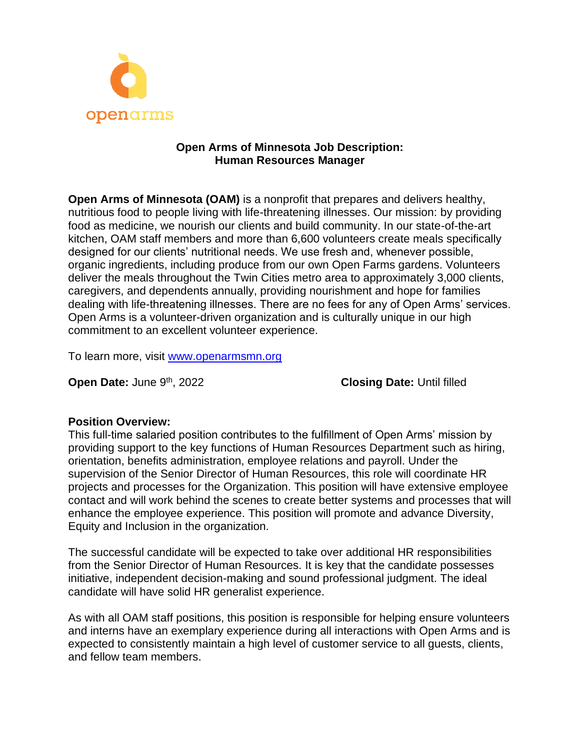

#### **Open Arms of Minnesota Job Description: Human Resources Manager**

**Open Arms of Minnesota (OAM)** is a nonprofit that prepares and delivers healthy, nutritious food to people living with life-threatening illnesses. Our mission: by providing food as medicine, we nourish our clients and build community. In our state-of-the-art kitchen, OAM staff members and more than 6,600 volunteers create meals specifically designed for our clients' nutritional needs. We use fresh and, whenever possible, organic ingredients, including produce from our own Open Farms gardens. Volunteers deliver the meals throughout the Twin Cities metro area to approximately 3,000 clients, caregivers, and dependents annually, providing nourishment and hope for families dealing with life-threatening illnesses. There are no fees for any of Open Arms' services. Open Arms is a volunteer-driven organization and is culturally unique in our high commitment to an excellent volunteer experience.

To learn more, visit [www.openarmsmn.org](http://www.openarmsmn.org/)

**Open Date: June 9th, 2022** 

**Closing Date: Until filled** 

#### **Position Overview:**

This full-time salaried position contributes to the fulfillment of Open Arms' mission by providing support to the key functions of Human Resources Department such as hiring, orientation, benefits administration, employee relations and payroll. Under the supervision of the Senior Director of Human Resources, this role will coordinate HR projects and processes for the Organization. This position will have extensive employee contact and will work behind the scenes to create better systems and processes that will enhance the employee experience. This position will promote and advance Diversity, Equity and Inclusion in the organization.

The successful candidate will be expected to take over additional HR responsibilities from the Senior Director of Human Resources. It is key that the candidate possesses initiative, independent decision-making and sound professional judgment. The ideal candidate will have solid HR generalist experience.

As with all OAM staff positions, this position is responsible for helping ensure volunteers and interns have an exemplary experience during all interactions with Open Arms and is expected to consistently maintain a high level of customer service to all guests, clients, and fellow team members.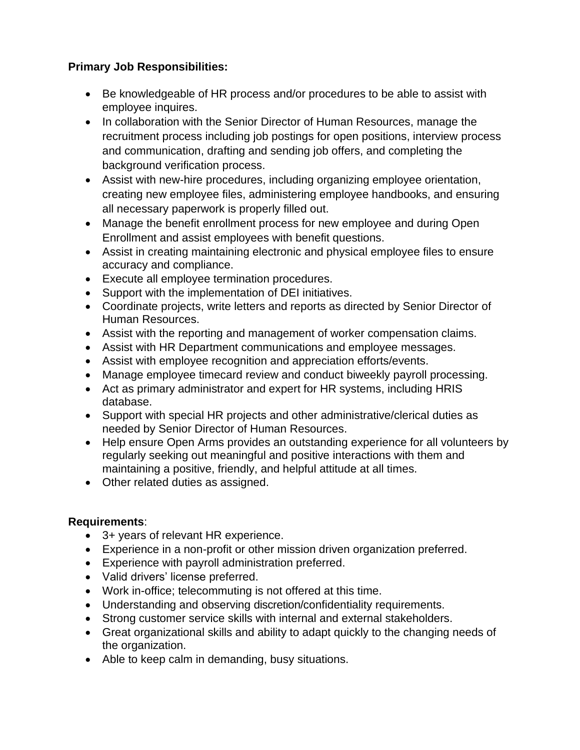# **Primary Job Responsibilities:**

- Be knowledgeable of HR process and/or procedures to be able to assist with employee inquires.
- In collaboration with the Senior Director of Human Resources, manage the recruitment process including job postings for open positions, interview process and communication, drafting and sending job offers, and completing the background verification process.
- Assist with new-hire procedures, including organizing employee orientation, creating new employee files, administering employee handbooks, and ensuring all necessary paperwork is properly filled out.
- Manage the benefit enrollment process for new employee and during Open Enrollment and assist employees with benefit questions.
- Assist in creating maintaining electronic and physical employee files to ensure accuracy and compliance.
- Execute all employee termination procedures.
- Support with the implementation of DEI initiatives.
- Coordinate projects, write letters and reports as directed by Senior Director of Human Resources.
- Assist with the reporting and management of worker compensation claims.
- Assist with HR Department communications and employee messages.
- Assist with employee recognition and appreciation efforts/events.
- Manage employee timecard review and conduct biweekly payroll processing.
- Act as primary administrator and expert for HR systems, including HRIS database.
- Support with special HR projects and other administrative/clerical duties as needed by Senior Director of Human Resources.
- Help ensure Open Arms provides an outstanding experience for all volunteers by regularly seeking out meaningful and positive interactions with them and maintaining a positive, friendly, and helpful attitude at all times.
- Other related duties as assigned.

## **Requirements**:

- 3+ years of relevant HR experience.
- Experience in a non-profit or other mission driven organization preferred.
- Experience with payroll administration preferred.
- Valid drivers' license preferred.
- Work in-office; telecommuting is not offered at this time.
- Understanding and observing discretion/confidentiality requirements.
- Strong customer service skills with internal and external stakeholders.
- Great organizational skills and ability to adapt quickly to the changing needs of the organization.
- Able to keep calm in demanding, busy situations.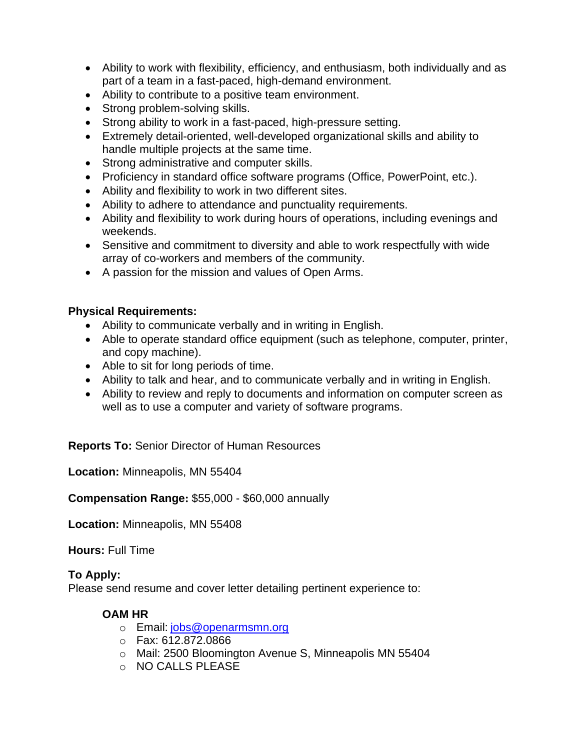- Ability to work with flexibility, efficiency, and enthusiasm, both individually and as part of a team in a fast-paced, high-demand environment.
- Ability to contribute to a positive team environment.
- Strong problem-solving skills.
- Strong ability to work in a fast-paced, high-pressure setting.
- Extremely detail-oriented, well-developed organizational skills and ability to handle multiple projects at the same time.
- Strong administrative and computer skills.
- Proficiency in standard office software programs (Office, PowerPoint, etc.).
- Ability and flexibility to work in two different sites.
- Ability to adhere to attendance and punctuality requirements.
- Ability and flexibility to work during hours of operations, including evenings and weekends.
- Sensitive and commitment to diversity and able to work respectfully with wide array of co-workers and members of the community.
- A passion for the mission and values of Open Arms.

## **Physical Requirements:**

- Ability to communicate verbally and in writing in English.
- Able to operate standard office equipment (such as telephone, computer, printer, and copy machine).
- Able to sit for long periods of time.
- Ability to talk and hear, and to communicate verbally and in writing in English.
- Ability to review and reply to documents and information on computer screen as well as to use a computer and variety of software programs.

**Reports To:** Senior Director of Human Resources

**Location:** Minneapolis, MN 55404

**Compensation Range:** \$55,000 - \$60,000 annually

**Location:** Minneapolis, MN 55408

**Hours:** Full Time

## **To Apply:**

Please send resume and cover letter detailing pertinent experience to:

## **OAM HR**

- o Email: [jobs@openarmsmn.org](mailto:jobs@openarmsmn.org)
- o Fax: 612.872.0866
- o Mail: 2500 Bloomington Avenue S, Minneapolis MN 55404
- o NO CALLS PLEASE